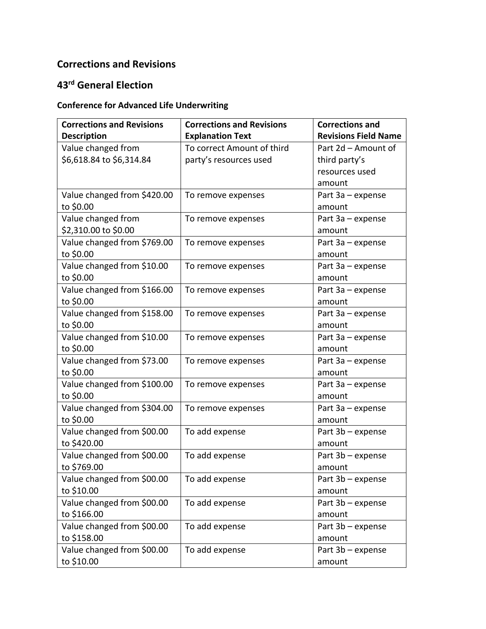## **Corrections and Revisions**

## **43rd General Election**

## **Conference for Advanced Life Underwriting**

| <b>Corrections and Revisions</b> | <b>Corrections and Revisions</b> | <b>Corrections and</b>      |
|----------------------------------|----------------------------------|-----------------------------|
| <b>Description</b>               | <b>Explanation Text</b>          | <b>Revisions Field Name</b> |
| Value changed from               | To correct Amount of third       | Part 2d - Amount of         |
| \$6,618.84 to \$6,314.84         | party's resources used           | third party's               |
|                                  |                                  | resources used              |
|                                  |                                  | amount                      |
| Value changed from \$420.00      | To remove expenses               | Part 3a – expense           |
| to \$0.00                        |                                  | amount                      |
| Value changed from               | To remove expenses               | Part $3a$ – expense         |
| \$2,310.00 to \$0.00             |                                  | amount                      |
| Value changed from \$769.00      | To remove expenses               | Part $3a$ – expense         |
| to \$0.00                        |                                  | amount                      |
| Value changed from \$10.00       | To remove expenses               | Part $3a$ – expense         |
| to \$0.00                        |                                  | amount                      |
| Value changed from \$166.00      | To remove expenses               | Part 3a - expense           |
| to \$0.00                        |                                  | amount                      |
| Value changed from \$158.00      | To remove expenses               | Part $3a$ – expense         |
| to \$0.00                        |                                  | amount                      |
| Value changed from \$10.00       | To remove expenses               | Part 3a - expense           |
| to \$0.00                        |                                  | amount                      |
| Value changed from \$73.00       | To remove expenses               | Part $3a$ – expense         |
| to \$0.00                        |                                  | amount                      |
| Value changed from \$100.00      | To remove expenses               | Part $3a$ – expense         |
| to \$0.00                        |                                  | amount                      |
| Value changed from \$304.00      | To remove expenses               | Part 3a - expense           |
| to \$0.00                        |                                  | amount                      |
| Value changed from \$00.00       | To add expense                   | Part 3b - expense           |
| to \$420.00                      |                                  | amount                      |
| Value changed from \$00.00       | To add expense                   | Part 3b - expense           |
| to \$769.00                      |                                  | amount                      |
| Value changed from \$00.00       | To add expense                   | Part 3b - expense           |
| to \$10.00                       |                                  | amount                      |
| Value changed from \$00.00       | To add expense                   | Part $3b$ – expense         |
| to \$166.00                      |                                  | amount                      |
| Value changed from \$00.00       | To add expense                   | Part 3b - expense           |
| to \$158.00                      |                                  | amount                      |
| Value changed from \$00.00       | To add expense                   | Part 3b - expense           |
| to \$10.00                       |                                  | amount                      |